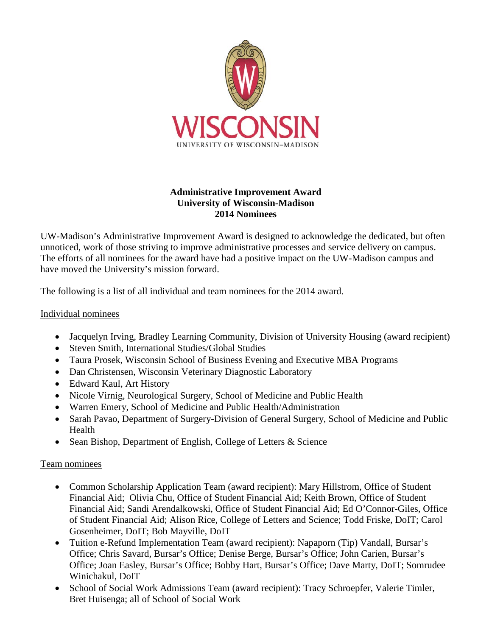

## **Administrative Improvement Award University of Wisconsin-Madison 2014 Nominees**

UW-Madison's Administrative Improvement Award is designed to acknowledge the dedicated, but often unnoticed, work of those striving to improve administrative processes and service delivery on campus. The efforts of all nominees for the award have had a positive impact on the UW-Madison campus and have moved the University's mission forward.

The following is a list of all individual and team nominees for the 2014 award.

## Individual nominees

- Jacquelyn Irving, Bradley Learning Community, Division of University Housing (award recipient)
- Steven Smith, International Studies/Global Studies
- Taura Prosek, Wisconsin School of Business Evening and Executive MBA Programs
- Dan Christensen, Wisconsin Veterinary Diagnostic Laboratory
- Edward Kaul, Art History
- Nicole Virnig, Neurological Surgery, School of Medicine and Public Health
- Warren Emery, School of Medicine and Public Health/Administration
- Sarah Pavao, Department of Surgery-Division of General Surgery, School of Medicine and Public Health
- Sean Bishop, Department of English, College of Letters & Science

## Team nominees

- Common Scholarship Application Team (award recipient): Mary Hillstrom, Office of Student Financial Aid; Olivia Chu, Office of Student Financial Aid; Keith Brown, Office of Student Financial Aid; Sandi Arendalkowski, Office of Student Financial Aid; Ed O'Connor-Giles, Office of Student Financial Aid; Alison Rice, College of Letters and Science; Todd Friske, DoIT; Carol Gosenheimer, DoIT; Bob Mayville, DoIT
- Tuition e-Refund Implementation Team (award recipient): Napaporn (Tip) Vandall, Bursar's Office; Chris Savard, Bursar's Office; Denise Berge, Bursar's Office; John Carien, Bursar's Office; Joan Easley, Bursar's Office; Bobby Hart, Bursar's Office; Dave Marty, DoIT; Somrudee Winichakul, DoIT
- School of Social Work Admissions Team (award recipient): Tracy Schroepfer, Valerie Timler, Bret Huisenga; all of School of Social Work